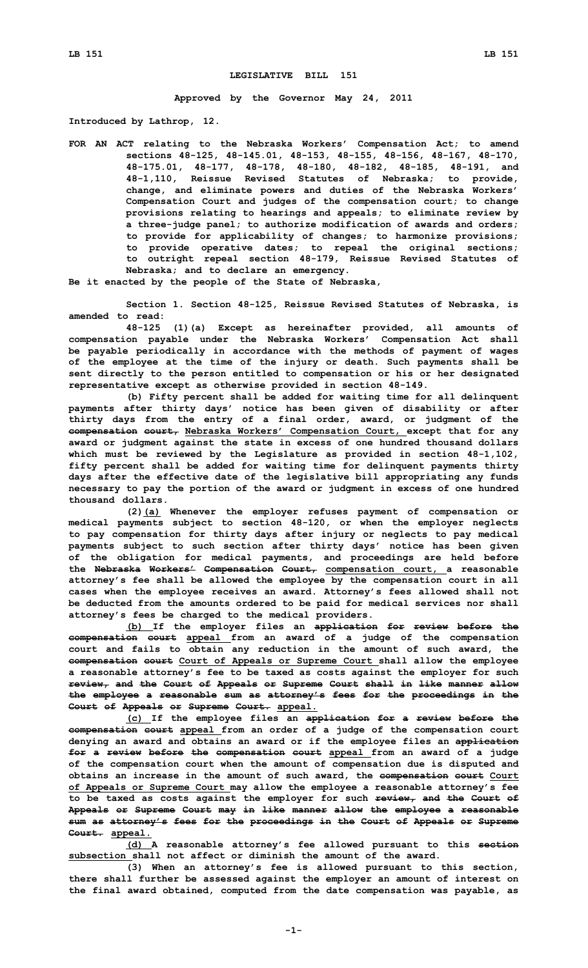## **LEGISLATIVE BILL 151**

**Approved by the Governor May 24, 2011**

**Introduced by Lathrop, 12.**

**FOR AN ACT relating to the Nebraska Workers' Compensation Act; to amend sections 48-125, 48-145.01, 48-153, 48-155, 48-156, 48-167, 48-170, 48-175.01, 48-177, 48-178, 48-180, 48-182, 48-185, 48-191, and 48-1,110, Reissue Revised Statutes of Nebraska; to provide, change, and eliminate powers and duties of the Nebraska Workers' Compensation Court and judges of the compensation court; to change provisions relating to hearings and appeals; to eliminate review by <sup>a</sup> three-judge panel; to authorize modification of awards and orders; to provide for applicability of changes; to harmonize provisions; to provide operative dates; to repeal the original sections; to outright repeal section 48-179, Reissue Revised Statutes of Nebraska; and to declare an emergency.**

**Be it enacted by the people of the State of Nebraska,**

**Section 1. Section 48-125, Reissue Revised Statutes of Nebraska, is amended to read:**

**48-125 (1)(a) Except as hereinafter provided, all amounts of compensation payable under the Nebraska Workers' Compensation Act shall be payable periodically in accordance with the methods of payment of wages of the employee at the time of the injury or death. Such payments shall be sent directly to the person entitled to compensation or his or her designated representative except as otherwise provided in section 48-149.**

**(b) Fifty percent shall be added for waiting time for all delinquent payments after thirty days' notice has been given of disability or after thirty days from the entry of <sup>a</sup> final order, award, or judgment of the compensation court, Nebraska Workers' Compensation Court, except that for any award or judgment against the state in excess of one hundred thousand dollars which must be reviewed by the Legislature as provided in section 48-1,102, fifty percent shall be added for waiting time for delinquent payments thirty days after the effective date of the legislative bill appropriating any funds necessary to pay the portion of the award or judgment in excess of one hundred thousand dollars.**

**(2)(a) Whenever the employer refuses payment of compensation or medical payments subject to section 48-120, or when the employer neglects to pay compensation for thirty days after injury or neglects to pay medical payments subject to such section after thirty days' notice has been given of the obligation for medical payments, and proceedings are held before the Nebraska Workers' Compensation Court, compensation court, <sup>a</sup> reasonable attorney's fee shall be allowed the employee by the compensation court in all cases when the employee receives an award. Attorney's fees allowed shall not be deducted from the amounts ordered to be paid for medical services nor shall attorney's fees be charged to the medical providers.**

**(b) If the employer files an application for review before the compensation court appeal from an award of <sup>a</sup> judge of the compensation court and fails to obtain any reduction in the amount of such award, the compensation court Court of Appeals or Supreme Court shall allow the employee <sup>a</sup> reasonable attorney's fee to be taxed as costs against the employer for such review, and the Court of Appeals or Supreme Court shall in like manner allow the employee <sup>a</sup> reasonable sum as attorney's fees for the proceedings in the Court of Appeals or Supreme Court. appeal.**

**(c) If the employee files an application for <sup>a</sup> review before the compensation court appeal from an order of <sup>a</sup> judge of the compensation court denying an award and obtains an award or if the employee files an application for <sup>a</sup> review before the compensation court appeal from an award of <sup>a</sup> judge of the compensation court when the amount of compensation due is disputed and obtains an increase in the amount of such award, the compensation court Court of Appeals or Supreme Court may allow the employee <sup>a</sup> reasonable attorney's fee to be taxed as costs against the employer for such review, and the Court of Appeals or Supreme Court may in like manner allow the employee <sup>a</sup> reasonable sum as attorney's fees for the proceedings in the Court of Appeals or Supreme Court. appeal.**

**(d) <sup>A</sup> reasonable attorney's fee allowed pursuant to this section subsection shall not affect or diminish the amount of the award.**

**(3) When an attorney's fee is allowed pursuant to this section, there shall further be assessed against the employer an amount of interest on the final award obtained, computed from the date compensation was payable, as**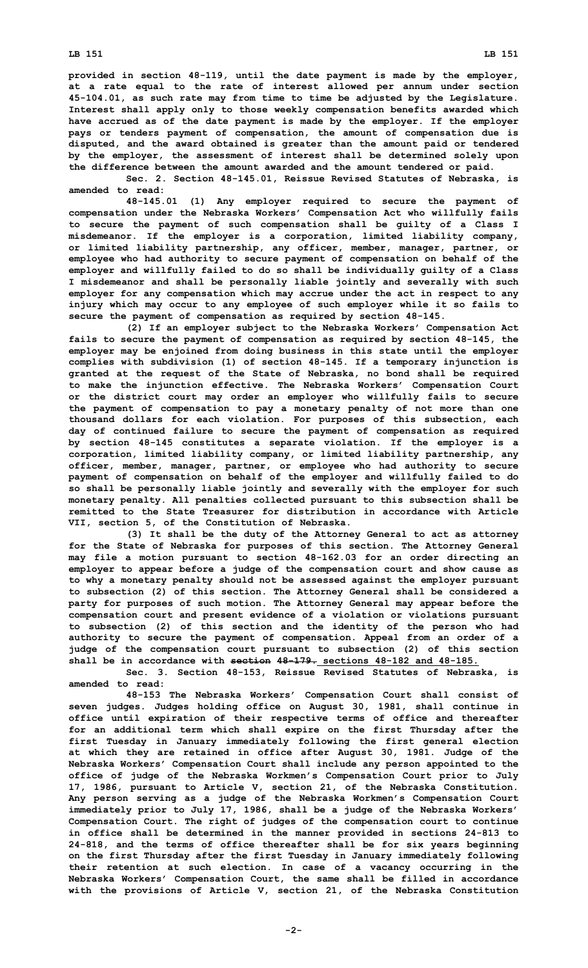**LB 151 LB 151**

**provided in section 48-119, until the date payment is made by the employer, at <sup>a</sup> rate equal to the rate of interest allowed per annum under section 45-104.01, as such rate may from time to time be adjusted by the Legislature. Interest shall apply only to those weekly compensation benefits awarded which have accrued as of the date payment is made by the employer. If the employer pays or tenders payment of compensation, the amount of compensation due is disputed, and the award obtained is greater than the amount paid or tendered by the employer, the assessment of interest shall be determined solely upon the difference between the amount awarded and the amount tendered or paid.**

**Sec. 2. Section 48-145.01, Reissue Revised Statutes of Nebraska, is amended to read:**

**48-145.01 (1) Any employer required to secure the payment of compensation under the Nebraska Workers' Compensation Act who willfully fails to secure the payment of such compensation shall be guilty of <sup>a</sup> Class I misdemeanor. If the employer is <sup>a</sup> corporation, limited liability company, or limited liability partnership, any officer, member, manager, partner, or employee who had authority to secure payment of compensation on behalf of the employer and willfully failed to do so shall be individually guilty of <sup>a</sup> Class I misdemeanor and shall be personally liable jointly and severally with such employer for any compensation which may accrue under the act in respect to any injury which may occur to any employee of such employer while it so fails to secure the payment of compensation as required by section 48-145.**

**(2) If an employer subject to the Nebraska Workers' Compensation Act fails to secure the payment of compensation as required by section 48-145, the employer may be enjoined from doing business in this state until the employer complies with subdivision (1) of section 48-145. If <sup>a</sup> temporary injunction is granted at the request of the State of Nebraska, no bond shall be required to make the injunction effective. The Nebraska Workers' Compensation Court or the district court may order an employer who willfully fails to secure the payment of compensation to pay <sup>a</sup> monetary penalty of not more than one thousand dollars for each violation. For purposes of this subsection, each day of continued failure to secure the payment of compensation as required by section 48-145 constitutes <sup>a</sup> separate violation. If the employer is <sup>a</sup> corporation, limited liability company, or limited liability partnership, any officer, member, manager, partner, or employee who had authority to secure payment of compensation on behalf of the employer and willfully failed to do so shall be personally liable jointly and severally with the employer for such monetary penalty. All penalties collected pursuant to this subsection shall be remitted to the State Treasurer for distribution in accordance with Article VII, section 5, of the Constitution of Nebraska.**

**(3) It shall be the duty of the Attorney General to act as attorney for the State of Nebraska for purposes of this section. The Attorney General may file <sup>a</sup> motion pursuant to section 48-162.03 for an order directing an employer to appear before <sup>a</sup> judge of the compensation court and show cause as to why <sup>a</sup> monetary penalty should not be assessed against the employer pursuant to subsection (2) of this section. The Attorney General shall be considered <sup>a</sup> party for purposes of such motion. The Attorney General may appear before the compensation court and present evidence of <sup>a</sup> violation or violations pursuant to subsection (2) of this section and the identity of the person who had authority to secure the payment of compensation. Appeal from an order of <sup>a</sup> judge of the compensation court pursuant to subsection (2) of this section shall be in accordance with section 48-179. sections 48-182 and 48-185.**

**Sec. 3. Section 48-153, Reissue Revised Statutes of Nebraska, is amended to read:**

**48-153 The Nebraska Workers' Compensation Court shall consist of seven judges. Judges holding office on August 30, 1981, shall continue in office until expiration of their respective terms of office and thereafter for an additional term which shall expire on the first Thursday after the first Tuesday in January immediately following the first general election at which they are retained in office after August 30, 1981. Judge of the Nebraska Workers' Compensation Court shall include any person appointed to the office of judge of the Nebraska Workmen's Compensation Court prior to July 17, 1986, pursuant to Article V, section 21, of the Nebraska Constitution. Any person serving as <sup>a</sup> judge of the Nebraska Workmen's Compensation Court immediately prior to July 17, 1986, shall be <sup>a</sup> judge of the Nebraska Workers' Compensation Court. The right of judges of the compensation court to continue in office shall be determined in the manner provided in sections 24-813 to 24-818, and the terms of office thereafter shall be for six years beginning on the first Thursday after the first Tuesday in January immediately following their retention at such election. In case of <sup>a</sup> vacancy occurring in the Nebraska Workers' Compensation Court, the same shall be filled in accordance with the provisions of Article V, section 21, of the Nebraska Constitution**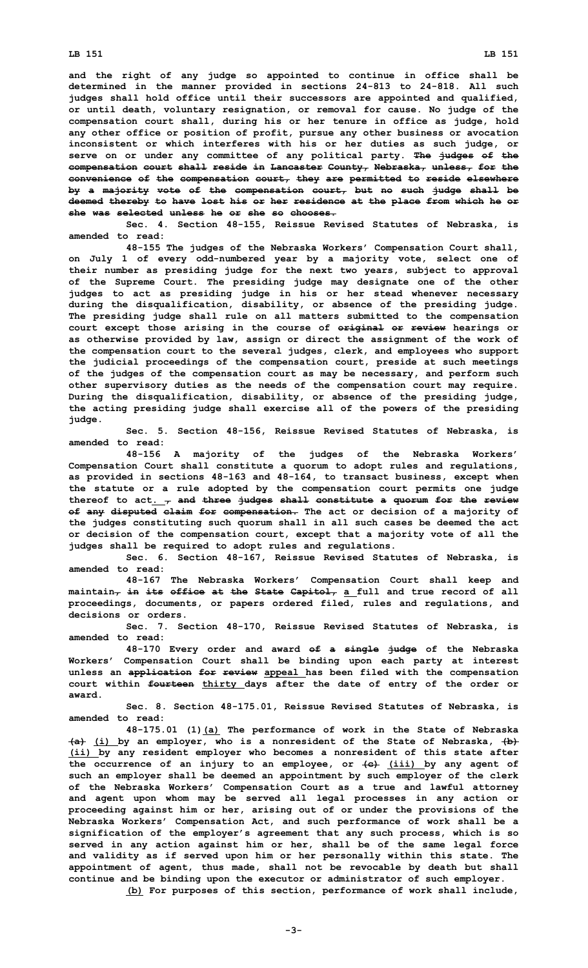**and the right of any judge so appointed to continue in office shall be determined in the manner provided in sections 24-813 to 24-818. All such judges shall hold office until their successors are appointed and qualified, or until death, voluntary resignation, or removal for cause. No judge of the compensation court shall, during his or her tenure in office as judge, hold any other office or position of profit, pursue any other business or avocation inconsistent or which interferes with his or her duties as such judge, or serve on or under any committee of any political party. The judges of the compensation court shall reside in Lancaster County, Nebraska, unless, for the convenience of the compensation court, they are permitted to reside elsewhere by <sup>a</sup> majority vote of the compensation court, but no such judge shall be deemed thereby to have lost his or her residence at the place from which he or she was selected unless he or she so chooses.**

**Sec. 4. Section 48-155, Reissue Revised Statutes of Nebraska, is amended to read:**

**48-155 The judges of the Nebraska Workers' Compensation Court shall, on July 1 of every odd-numbered year by <sup>a</sup> majority vote, select one of their number as presiding judge for the next two years, subject to approval of the Supreme Court. The presiding judge may designate one of the other judges to act as presiding judge in his or her stead whenever necessary during the disqualification, disability, or absence of the presiding judge. The presiding judge shall rule on all matters submitted to the compensation court except those arising in the course of original or review hearings or as otherwise provided by law, assign or direct the assignment of the work of the compensation court to the several judges, clerk, and employees who support the judicial proceedings of the compensation court, preside at such meetings of the judges of the compensation court as may be necessary, and perform such other supervisory duties as the needs of the compensation court may require. During the disqualification, disability, or absence of the presiding judge, the acting presiding judge shall exercise all of the powers of the presiding judge.**

**Sec. 5. Section 48-156, Reissue Revised Statutes of Nebraska, is amended to read:**

**48-156 <sup>A</sup> majority of the judges of the Nebraska Workers' Compensation Court shall constitute <sup>a</sup> quorum to adopt rules and regulations, as provided in sections 48-163 and 48-164, to transact business, except when the statute or <sup>a</sup> rule adopted by the compensation court permits one judge thereof to act. , and three judges shall constitute <sup>a</sup> quorum for the review of any disputed claim for compensation. The act or decision of <sup>a</sup> majority of the judges constituting such quorum shall in all such cases be deemed the act or decision of the compensation court, except that <sup>a</sup> majority vote of all the judges shall be required to adopt rules and regulations.**

**Sec. 6. Section 48-167, Reissue Revised Statutes of Nebraska, is amended to read:**

**48-167 The Nebraska Workers' Compensation Court shall keep and maintain, in its office at the State Capitol, <sup>a</sup> full and true record of all proceedings, documents, or papers ordered filed, rules and regulations, and decisions or orders.**

**Sec. 7. Section 48-170, Reissue Revised Statutes of Nebraska, is amended to read:**

**48-170 Every order and award of <sup>a</sup> single judge of the Nebraska Workers' Compensation Court shall be binding upon each party at interest unless an application for review appeal has been filed with the compensation court within fourteen thirty days after the date of entry of the order or award.**

**Sec. 8. Section 48-175.01, Reissue Revised Statutes of Nebraska, is amended to read:**

**48-175.01 (1)(a) The performance of work in the State of Nebraska (a) (i) by an employer, who is <sup>a</sup> nonresident of the State of Nebraska, (b) (ii) by any resident employer who becomes <sup>a</sup> nonresident of this state after the occurrence of an injury to an employee, or (c) (iii) by any agent of such an employer shall be deemed an appointment by such employer of the clerk of the Nebraska Workers' Compensation Court as <sup>a</sup> true and lawful attorney and agent upon whom may be served all legal processes in any action or proceeding against him or her, arising out of or under the provisions of the Nebraska Workers' Compensation Act, and such performance of work shall be <sup>a</sup> signification of the employer's agreement that any such process, which is so served in any action against him or her, shall be of the same legal force and validity as if served upon him or her personally within this state. The appointment of agent, thus made, shall not be revocable by death but shall continue and be binding upon the executor or administrator of such employer. (b) For purposes of this section, performance of work shall include,**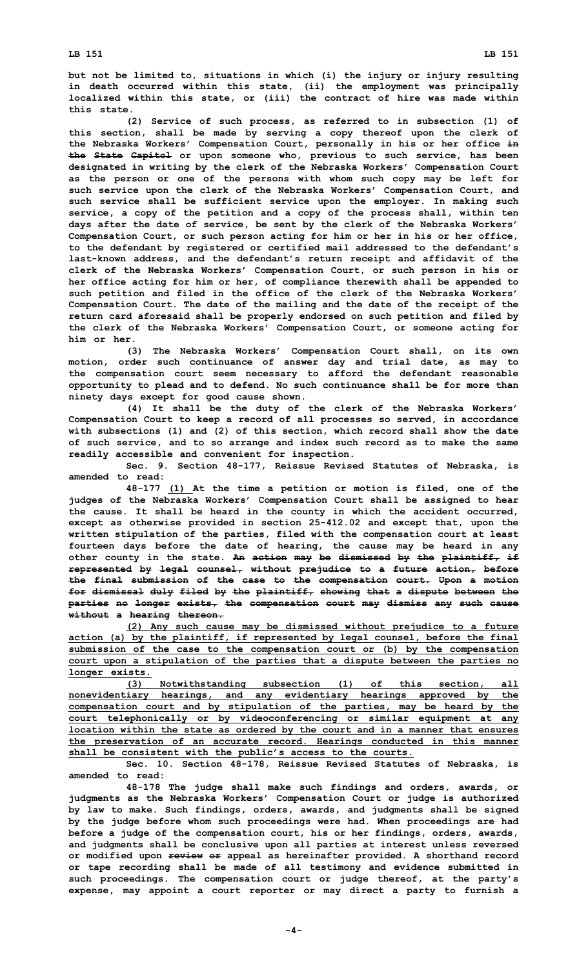**but not be limited to, situations in which (i) the injury or injury resulting in death occurred within this state, (ii) the employment was principally localized within this state, or (iii) the contract of hire was made within this state.**

**(2) Service of such process, as referred to in subsection (1) of this section, shall be made by serving <sup>a</sup> copy thereof upon the clerk of the Nebraska Workers' Compensation Court, personally in his or her office in the State Capitol or upon someone who, previous to such service, has been designated in writing by the clerk of the Nebraska Workers' Compensation Court as the person or one of the persons with whom such copy may be left for such service upon the clerk of the Nebraska Workers' Compensation Court, and such service shall be sufficient service upon the employer. In making such service, <sup>a</sup> copy of the petition and <sup>a</sup> copy of the process shall, within ten days after the date of service, be sent by the clerk of the Nebraska Workers' Compensation Court, or such person acting for him or her in his or her office, to the defendant by registered or certified mail addressed to the defendant's last-known address, and the defendant's return receipt and affidavit of the clerk of the Nebraska Workers' Compensation Court, or such person in his or her office acting for him or her, of compliance therewith shall be appended to such petition and filed in the office of the clerk of the Nebraska Workers' Compensation Court. The date of the mailing and the date of the receipt of the return card aforesaid shall be properly endorsed on such petition and filed by the clerk of the Nebraska Workers' Compensation Court, or someone acting for him or her.**

**(3) The Nebraska Workers' Compensation Court shall, on its own motion, order such continuance of answer day and trial date, as may to the compensation court seem necessary to afford the defendant reasonable opportunity to plead and to defend. No such continuance shall be for more than ninety days except for good cause shown.**

**(4) It shall be the duty of the clerk of the Nebraska Workers' Compensation Court to keep <sup>a</sup> record of all processes so served, in accordance with subsections (1) and (2) of this section, which record shall show the date of such service, and to so arrange and index such record as to make the same readily accessible and convenient for inspection.**

**Sec. 9. Section 48-177, Reissue Revised Statutes of Nebraska, is amended to read:**

**48-177 (1) At the time <sup>a</sup> petition or motion is filed, one of the judges of the Nebraska Workers' Compensation Court shall be assigned to hear the cause. It shall be heard in the county in which the accident occurred, except as otherwise provided in section 25-412.02 and except that, upon the written stipulation of the parties, filed with the compensation court at least fourteen days before the date of hearing, the cause may be heard in any other county in the state. An action may be dismissed by the plaintiff, if represented by legal counsel, without prejudice to <sup>a</sup> future action, before the final submission of the case to the compensation court. Upon <sup>a</sup> motion for dismissal duly filed by the plaintiff, showing that <sup>a</sup> dispute between the parties no longer exists, the compensation court may dismiss any such cause without <sup>a</sup> hearing thereon.**

**(2) Any such cause may be dismissed without prejudice to <sup>a</sup> future action (a) by the plaintiff, if represented by legal counsel, before the final submission of the case to the compensation court or (b) by the compensation court upon <sup>a</sup> stipulation of the parties that <sup>a</sup> dispute between the parties no longer exists.**

**(3) Notwithstanding subsection (1) of this section, all nonevidentiary hearings, and any evidentiary hearings approved by the compensation court and by stipulation of the parties, may be heard by the court telephonically or by videoconferencing or similar equipment at any location within the state as ordered by the court and in <sup>a</sup> manner that ensures the preservation of an accurate record. Hearings conducted in this manner shall be consistent with the public's access to the courts.**

**Sec. 10. Section 48-178, Reissue Revised Statutes of Nebraska, is amended to read:**

**48-178 The judge shall make such findings and orders, awards, or judgments as the Nebraska Workers' Compensation Court or judge is authorized by law to make. Such findings, orders, awards, and judgments shall be signed by the judge before whom such proceedings were had. When proceedings are had before <sup>a</sup> judge of the compensation court, his or her findings, orders, awards, and judgments shall be conclusive upon all parties at interest unless reversed or modified upon review or appeal as hereinafter provided. A shorthand record or tape recording shall be made of all testimony and evidence submitted in such proceedings. The compensation court or judge thereof, at the party's expense, may appoint <sup>a</sup> court reporter or may direct <sup>a</sup> party to furnish <sup>a</sup>**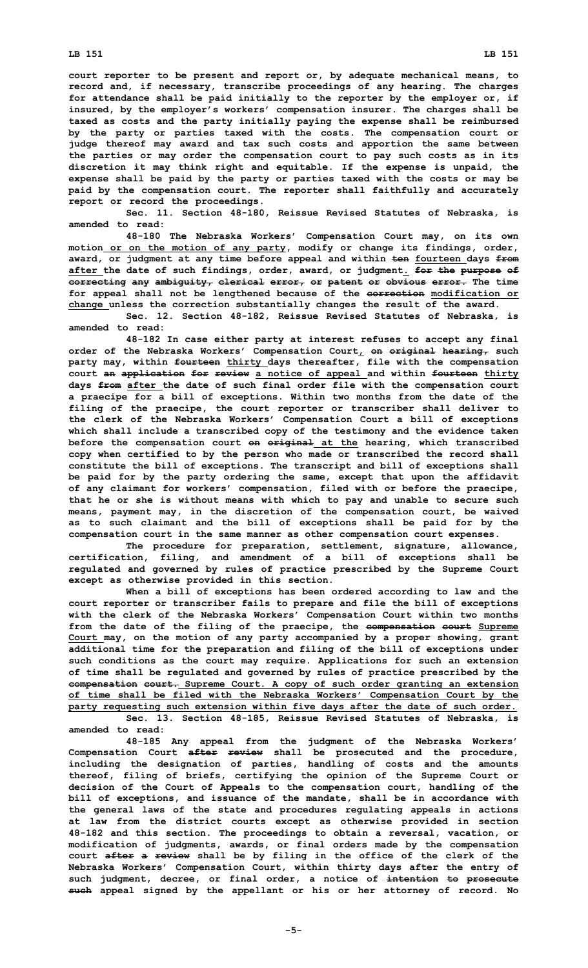## **LB 151 LB 151**

**court reporter to be present and report or, by adequate mechanical means, to record and, if necessary, transcribe proceedings of any hearing. The charges for attendance shall be paid initially to the reporter by the employer or, if insured, by the employer's workers' compensation insurer. The charges shall be taxed as costs and the party initially paying the expense shall be reimbursed by the party or parties taxed with the costs. The compensation court or judge thereof may award and tax such costs and apportion the same between the parties or may order the compensation court to pay such costs as in its discretion it may think right and equitable. If the expense is unpaid, the expense shall be paid by the party or parties taxed with the costs or may be paid by the compensation court. The reporter shall faithfully and accurately report or record the proceedings.**

**Sec. 11. Section 48-180, Reissue Revised Statutes of Nebraska, is amended to read:**

**48-180 The Nebraska Workers' Compensation Court may, on its own motion or on the motion of any party, modify or change its findings, order, award, or judgment at any time before appeal and within ten fourteen days from after the date of such findings, order, award, or judgment. for the purpose of correcting any ambiguity, clerical error, or patent or obvious error. The time for appeal shall not be lengthened because of the correction modification or change unless the correction substantially changes the result of the award.**

**Sec. 12. Section 48-182, Reissue Revised Statutes of Nebraska, is amended to read:**

**48-182 In case either party at interest refuses to accept any final order of the Nebraska Workers' Compensation Court, on original hearing, such party may, within fourteen thirty days thereafter, file with the compensation court an application for review <sup>a</sup> notice of appeal and within fourteen thirty days from after the date of such final order file with the compensation court <sup>a</sup> praecipe for <sup>a</sup> bill of exceptions. Within two months from the date of the filing of the praecipe, the court reporter or transcriber shall deliver to the clerk of the Nebraska Workers' Compensation Court <sup>a</sup> bill of exceptions which shall include <sup>a</sup> transcribed copy of the testimony and the evidence taken before the compensation court on original at the hearing, which transcribed copy when certified to by the person who made or transcribed the record shall constitute the bill of exceptions. The transcript and bill of exceptions shall be paid for by the party ordering the same, except that upon the affidavit of any claimant for workers' compensation, filed with or before the praecipe, that he or she is without means with which to pay and unable to secure such means, payment may, in the discretion of the compensation court, be waived as to such claimant and the bill of exceptions shall be paid for by the compensation court in the same manner as other compensation court expenses.**

**The procedure for preparation, settlement, signature, allowance, certification, filing, and amendment of <sup>a</sup> bill of exceptions shall be regulated and governed by rules of practice prescribed by the Supreme Court except as otherwise provided in this section.**

**When <sup>a</sup> bill of exceptions has been ordered according to law and the court reporter or transcriber fails to prepare and file the bill of exceptions with the clerk of the Nebraska Workers' Compensation Court within two months from the date of the filing of the praecipe, the compensation court Supreme Court may, on the motion of any party accompanied by <sup>a</sup> proper showing, grant additional time for the preparation and filing of the bill of exceptions under such conditions as the court may require. Applications for such an extension of time shall be regulated and governed by rules of practice prescribed by the compensation court. Supreme Court. A copy of such order granting an extension of time shall be filed with the Nebraska Workers' Compensation Court by the party requesting such extension within five days after the date of such order.**

**Sec. 13. Section 48-185, Reissue Revised Statutes of Nebraska, is amended to read:**

**48-185 Any appeal from the judgment of the Nebraska Workers' Compensation Court after review shall be prosecuted and the procedure, including the designation of parties, handling of costs and the amounts thereof, filing of briefs, certifying the opinion of the Supreme Court or decision of the Court of Appeals to the compensation court, handling of the bill of exceptions, and issuance of the mandate, shall be in accordance with the general laws of the state and procedures regulating appeals in actions at law from the district courts except as otherwise provided in section 48-182 and this section. The proceedings to obtain <sup>a</sup> reversal, vacation, or modification of judgments, awards, or final orders made by the compensation court after <sup>a</sup> review shall be by filing in the office of the clerk of the Nebraska Workers' Compensation Court, within thirty days after the entry of such judgment, decree, or final order, <sup>a</sup> notice of intention to prosecute such appeal signed by the appellant or his or her attorney of record. No**